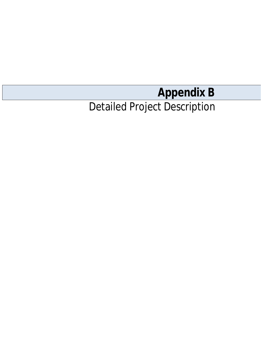# **Appendix B**

## Detailed Project Description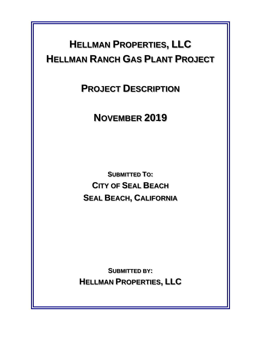### **HELLMAN PROPERTIES, LLC HELLMAN RANCH GAS PLANT PROJECT**

**PROJECT DESCRIPTION**

**NOVEMBER 2019**

**SUBMITTED TO: CITY OF SEAL BEACH SEAL BEACH, CALIFORNIA**

**SUBMITTED BY: HELLMAN PROPERTIES, LLC**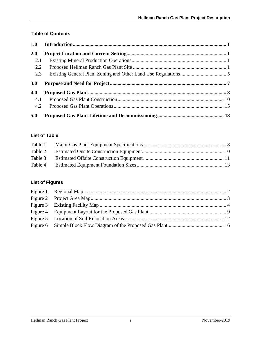#### **Table of Contents**

| 1.0 |  |
|-----|--|
| 2.0 |  |
| 2.1 |  |
| 2.2 |  |
| 2.3 |  |
|     |  |
| 3.0 |  |
| 4.0 |  |
| 4.1 |  |
| 4.2 |  |

#### **List of Table**

#### **List of Figures**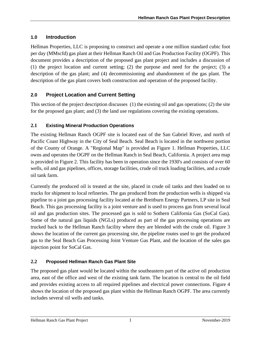#### **1.0 Introduction**

Hellman Properties, LLC is proposing to construct and operate a one million standard cubic foot per day (MMscfd) gas plant at their Hellman Ranch Oil and Gas Production Facility (OGPF). This document provides a description of the proposed gas plant project and includes a discussion of (1) the project location and current setting; (2) the purpose and need for the project; (3) a description of the gas plant; and (4) decommissioning and abandonment of the gas plant. The description of the gas plant covers both construction and operation of the proposed facility.

#### **2.0 Project Location and Current Setting**

This section of the project description discusses (1) the existing oil and gas operations; (2) the site for the proposed gas plant; and (3) the land use regulations covering the existing operations.

#### **2.1 Existing Mineral Production Operations**

The existing Hellman Ranch OGPF site is located east of the San Gabriel River, and north of Pacific Coast Highway in the City of Seal Beach. Seal Beach is located in the northwest portion of the County of Orange. A "Regional Map" is provided as Figure 1. Hellman Properties, LLC owns and operates the OGPF on the Hellman Ranch in Seal Beach, California. A project area map is provided in Figure 2. This facility has been in operation since the 1930's and consists of over 60 wells, oil and gas pipelines, offices, storage facilities, crude oil truck loading facilities, and a crude oil tank farm.

Currently the produced oil is treated at the site, placed in crude oil tanks and then loaded on to trucks for shipment to local refineries. The gas produced from the production wells is shipped via pipeline to a joint gas processing facility located at the Breitburn Energy Partners, LP site in Seal Beach. This gas processing facility is a joint venture and is used to process gas from several local oil and gas production sites. The processed gas is sold to Sothern California Gas (SoCal Gas). Some of the natural gas liquids (NGLs) produced as part of the gas processing operations are trucked back to the Hellman Ranch facility where they are blended with the crude oil. Figure 3 shows the location of the current gas processing site, the pipeline routes used to get the produced gas to the Seal Beach Gas Processing Joint Venture Gas Plant, and the location of the sales gas injection point for SoCal Gas.

#### **2.2 Proposed Hellman Ranch Gas Plant Site**

The proposed gas plant would be located within the southeastern part of the active oil production area, east of the office and west of the existing tank farm. The location is central to the oil field and provides existing access to all required pipelines and electrical power connections. Figure 4 shows the location of the proposed gas plant within the Hellman Ranch OGPF. The area currently includes several oil wells and tanks.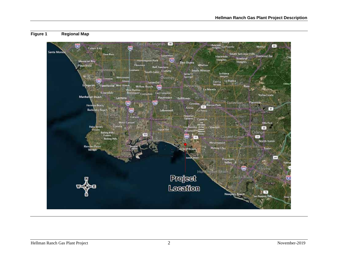#### **Figure 1 Regional Map**

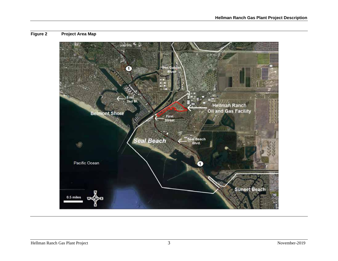#### **Figure 2 Project Area Map**

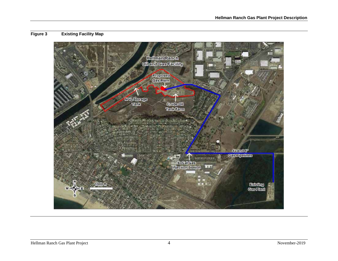#### **Figure 3 Existing Facility Map**

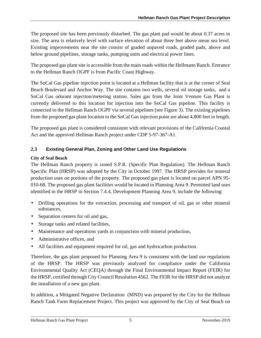The proposed site has been previously disturbed. The gas plant pad would be about 0.37 acres in size. The area is relatively level with surface elevation of about three feet above mean sea level. Existing improvements near the site consist of graded unpaved roads, graded pads, above and below ground pipelines, storage tanks, pumping units and electrical power lines.

The proposed gas plant site is accessible from the main roads within the Hellmann Ranch. Entrance to the Hellman Ranch OGPF is from Pacific Coast Highway.

The SoCal Gas pipeline injection point is located at a Hellman facility that is at the corner of Seal Beach Boulevard and Anchor Way. The site contains two wells, several oil storage tanks, and a SoCal Gas odorant injection/metering station. Sales gas from the Joint Venture Gas Plant is currently delivered to this location for injection into the SoCal Gas pipeline. This facility is connected to the Hellman Ranch OGPF via several pipelines (see Figure 3). The existing pipelines from the proposed gas plant location to the SoCal Gas injection point are about 4,800 feet in length.

The proposed gas plant is considered consistent with relevant provisions of the California Coastal Act and the approved Hellman Ranch project under CDP 5-97-367-A1.

#### **2.3 Existing General Plan, Zoning and Other Land Use Regulations**

#### **City of Seal Beach**

The Hellman Ranch property is zoned S.P.R. (Specific Plan Regulation). The Hellman Ranch Specific Plan (HRSP) was adopted by the City in October 1997. The HRSP provides for mineral production uses on portions of the property. The proposed gas plant is located on parcel APN 95- 010-68. The proposed gas plant facilities would be located in Planning Area 9. Permitted land uses identified in the HRSP in Section 7.4.4, Development Planning Area 9, include the following:

- Drilling operations for the extraction, processing and transport of oil, gas or other mineral substances,
- Separation centers for oil and gas,
- Storage tanks and related facilities,  $\mathbf{r}$
- Maintenance and operations yards in conjunction with mineral production,
- Administrative offices, and
- All facilities and equipment required for oil, gas and hydrocarbon production.

Therefore, the gas plant proposed for Planning Area 9 is consistent with the land use regulations of the HRSP. The HRSP was previously analyzed for compliance under the California Environmental Quality Act (CEQA) through the Final Environmental Impact Report (FEIR) for the HRSP, certified through City Council Resolution 4562. The FEIR for the HRSP did not analyze the installation of a new gas plant.

In addition, a Mitigated Negative Declaration (MND) was prepared by the City for the Hellman Ranch Tank Farm Replacement Project. This project was approved by the City of Seal Beach on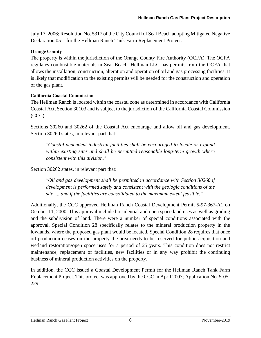July 17, 2006; Resolution No. 5317 of the City Council of Seal Beach adopting Mitigated Negative Declaration 05-1 for the Hellman Ranch Tank Farm Replacement Project.

#### **Orange County**

The property is within the jurisdiction of the Orange County Fire Authority (OCFA). The OCFA regulates combustible materials in Seal Beach. Hellman LLC has permits from the OCFA that allows the installation, construction, alteration and operation of oil and gas processing facilities. It is likely that modification to the existing permits will be needed for the construction and operation of the gas plant.

#### **California Coastal Commission**

The Hellman Ranch is located within the coastal zone as determined in accordance with California Coastal Act, Section 30103 and is subject to the jurisdiction of the California Coastal Commission (CCC).

Sections 30260 and 30262 of the Coastal Act encourage and allow oil and gas development. Section 30260 states, in relevant part that:

*"Coastal-dependent industrial facilities shall be encouraged to locate or expand within existing sites and shall be permitted reasonable long-term growth where consistent with this division."*

Section 30262 states, in relevant part that:

*"Oil and gas development shall be permitted in accordance with Section 30260 if development is performed safely and consistent with the geologic conditions of the site .... and if the facilities are consolidated to the maximum extent feasible."*

Additionally, the CCC approved Hellman Ranch Coastal Development Permit 5-97-367-A1 on October 11, 2000. This approval included residential and open space land uses as well as grading and the subdivision of land. There were a number of special conditions associated with the approval. Special Condition 28 specifically relates to the mineral production property in the lowlands, where the proposed gas plant would be located. Special Condition 28 requires that once oil production ceases on the property the area needs to be reserved for public acquisition and wetland restoration/open space uses for a period of 25 years. This condition does not restrict maintenance, replacement of facilities, new facilities or in any way prohibit the continuing business of mineral production activities on the property.

In addition, the CCC issued a Coastal Development Permit for the Hellman Ranch Tank Farm Replacement Project. This project was approved by the CCC in April 2007; Application No. 5-05- 229.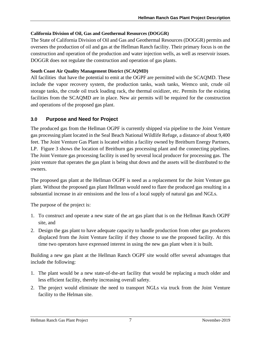#### **California Division of Oil, Gas and Geothermal Resources (DOGGR)**

The State of California Division of Oil and Gas and Geothermal Resources (DOGGR) permits and oversees the production of oil and gas at the Hellman Ranch facility. Their primary focus is on the construction and operation of the production and water injection wells, as well as reservoir issues. DOGGR does not regulate the construction and operation of gas plants.

#### **South Coast Air Quality Management District (SCAQMD)**

All facilities that have the potential to emit at the OGPF are permitted with the SCAQMD. These include the vapor recovery system, the production tanks, wash tanks, Wemco unit, crude oil storage tanks, the crude oil truck loading rack, the thermal oxidizer, etc. Permits for the existing facilities from the SCAQMD are in place. New air permits will be required for the construction and operations of the proposed gas plant.

#### **3.0 Purpose and Need for Project**

The produced gas from the Hellman OGPF is currently shipped via pipeline to the Joint Venture gas processing plant located in the Seal Beach National Wildlife Refuge, a distance of about 9,400 feet. The Joint Venture Gas Plant is located within a facility owned by Breitburn Energy Partners, LP. Figure 3 shows the location of Breitburn gas processing plant and the connecting pipelines. The Joint Venture gas processing facility is used by several local producer for processing gas. The joint venture that operates the gas plant is being shut down and the assets will be distributed to the owners.

The proposed gas plant at the Hellman OGPF is need as a replacement for the Joint Venture gas plant. Without the proposed gas plant Hellman would need to flare the produced gas resulting in a substantial increase in air emissions and the loss of a local supply of natural gas and NGLs.

The purpose of the project is:

- 1. To construct and operate a new state of the art gas plant that is on the Hellman Ranch OGPF site, and
- 2. Design the gas plant to have adequate capacity to handle production from other gas producers displaced from the Joint Venture facility if they choose to use the proposed facility. At this time two operators have expressed interest in using the new gas plant when it is built.

Building a new gas plant at the Hellman Ranch OGPF site would offer several advantages that include the following:

- 1. The plant would be a new state-of-the-art facility that would be replacing a much older and less efficient facility, thereby increasing overall safety.
- 2. The project would eliminate the need to transport NGLs via truck from the Joint Venture facility to the Helman site.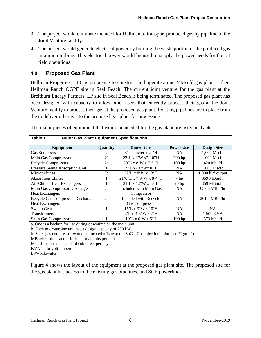- 3. The project would eliminate the need for Hellman to transport produced gas by pipeline to the Joint Venture facility.
- 4. The project would generate electrical power by burning the waste portion of the produced gas in a microturbine. This electrical power would be used to supply the power needs for the oil field operations.

#### **4.0 Proposed Gas Plant**

Hellman Properties, LLC is proposing to construct and operate a one MMscfd gas plant at their Hellman Ranch OGPF site in Seal Beach. The current joint venture for the gas plant at the Breitburn Energy Partners, LP site in Seal Beach is being terminated. The proposed gas plant has been designed with capacity to allow other users that currently process their gas at the Joint Venture facility to process their gas at the proposed gas plant. Existing pipelines are in place from the to deliver other gas to the proposed gas plant for processing.

The major pieces of equipment that would be needed for the gas plant are listed in Table 1 .

| <b>Equipment</b>                  | Quantity       | <b>Dimensions</b>            | <b>Power Use</b> | <b>Design Size</b> |
|-----------------------------------|----------------|------------------------------|------------------|--------------------|
| Gas Scrubbers                     | 2              | 5' diameter x 24'H           | <b>NA</b>        | 1,000 Mscfd        |
| Main Gas Compressors              | $2^{\rm a}$    | 22'L x 8'W x7'10"H           | $200$ hp         | 1,000 Mscfd        |
| <b>Recycle Compressors</b>        | 2 <sup>a</sup> | 20'L x 8'W x 7'6"H           | $100$ hp         | 420 Mscfd          |
| Pressure Swing Absorption Unit    |                | 19'L x7'6"Wx10'H             | <b>NA</b>        | 1,000 Mscfd        |
| Microturbines                     | 5b             | $32'$ L x $8'$ W x $13'$ H   | <b>NA</b>        | $1,000$ kW output  |
| <b>Absorption Chiller</b>         |                | 21'6''L x 7'9''W x 8'4''H    | 7 <sub>hp</sub>  | 859 MBtu/hr        |
| Air-Chilled Heat Exchangers       |                | $21'$ L x $12''$ W x $13'$ H | $20$ hp          | 859 MBtu/hr        |
| Main Gas Compressor Discharge     | 2 <sup>a</sup> | Included with Main Gas       | <b>NA</b>        | $657.6$ MBtu/hr    |
| <b>Heat Exchangers</b>            |                | Compressor                   |                  |                    |
| Recycle Gas Compressor Discharge  | 2 <sup>a</sup> | Included with Recycle        | <b>NA</b>        | $201.4$ MBtu/hr    |
| <b>Heat Exchangers</b>            |                | <b>Gas Compressor</b>        |                  |                    |
| <b>Switch Gear</b>                |                | 15'L x 3'W x 10'H            | <b>NA</b>        | <b>NA</b>          |
| Transformers                      | 2              | 4'L x 3'6''W x 7'H           | <b>NA</b>        | 1,500 KVA          |
| Sales Gas Compressor <sup>c</sup> |                | $10'$ L x 6'W x 5'H          | $100$ hp         | 673 Mscfd          |

| Table 1 | <b>Major Gas Plant Equipment Specifications</b> |
|---------|-------------------------------------------------|
|---------|-------------------------------------------------|

a. One is a backup for use during downtime on the main unit.

b. Each microturbine unit has a design capacity of 200 kW.

b. Sales gas compressor would be located offsite at the SoCal Gas injection point (see Figure 2).

MBtu/hr – thousand british thermal units per hour.

Mscfd – thousand standard cubic feet per day.

KVA– kilo-volt-ampere

kW– kilowatts

Figure 4 shows the layout of the equipment at the proposed gas plant site. The proposed site for the gas plant has access to the existing gas pipelines, and SCE powerlines.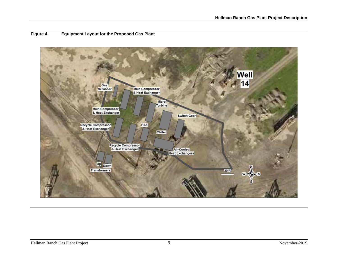

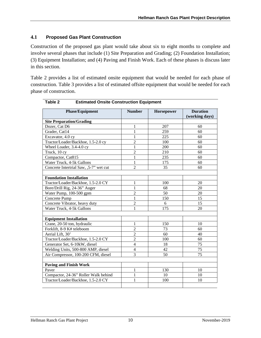#### **4.1 Proposed Gas Plant Construction**

Construction of the proposed gas plant would take about six to eight months to complete and involve several phases that include (1) Site Preparation and Grading; (2) Foundation Installation; (3) Equipment Installation; and (4) Paving and Finish Work. Each of these phases is discuss later in this section.

Table 2 provides a list of estimated onsite equipment that would be needed for each phase of construction. Table 3 provides a list of estimated offsite equipment that would be needed for each phase of construction.

| <b>Phase/Equipment</b>                  | <b>Number</b>  | Horsepower | <b>Duration</b> |
|-----------------------------------------|----------------|------------|-----------------|
|                                         |                |            | (working days)  |
| <b>Site Preparation/Grading</b>         |                |            |                 |
| Dozer, Cat D6                           | 1              | 207        | 60              |
| Grader, Cat14                           | 1              | 259        | 60              |
| Excavator, 4.0 cy                       | 1              | 225        | 60              |
| Tractor/Loader/Backhoe, 1.5-2.0 cy      | $\mathfrak{2}$ | 100        | 60              |
| Wheel Loader, 3.4-4.0 cy                | 1              | 200        | 60              |
| Truck, 10 cy                            | $\overline{2}$ | 210        | 60              |
| Compactor, Cat815                       | 1              | 235        | 60              |
| Water Truck, 4-5k Gallons               | 1              | 175        | 60              |
| Concrete Intertrial Saw, , 5-7" wet cut | $\overline{2}$ | 35         | 60              |
| <b>Foundation Installation</b>          |                |            |                 |
| Tractor/Loader/Backhoe, 1.5-2.0 CY      | 1              | 100        | 20              |
| Bore/Drill Rig, 24-36" Auger            | 1              | 68         | 20              |
| Water Pump, 100-500 gpm                 | $\overline{2}$ | 50         | 20              |
| Concrete Pump                           | 1              | 150        | 15              |
| Concrete Vibrator, heavy duty           | $\overline{2}$ | 6          | 15              |
| Water Truck, 4-5k Gallons               | 1              | 175        | 20              |
|                                         |                |            |                 |
| <b>Equipment Installation</b>           |                |            |                 |
| Crane, 20-50 ton, hydraulic             | 1              | 150        | 10              |
| Forklift, 8-9 K# teleboom               | $\overline{2}$ | 73         | 60              |
| Aerial Lift, 30'                        | $\overline{2}$ | 60         | 40              |
| Tractor/Loader/Backhoe, 1.5-2.0 CY      | $\overline{2}$ | 100        | 60              |
| Generator Set, 6-10kW, diesel           | $\overline{4}$ | 18         | 75              |
| Welding Units, 500-800 AMP, diesel      | 4              | 42         | 75              |
| Air Compressor, 100-200 CFM, diesel     | 3              | 50         | 75              |
| <b>Paving and Finish Work</b>           |                |            |                 |
| Paver                                   | 1              | 130        | 10              |
| Compactor, 24-36" Roller Walk behind    | 1              | 10         | 10              |
| Tractor/Loader/Backhoe, 1.5-2.0 CY      | 1              | 100        | 10              |
|                                         |                |            |                 |

**Table 2 Estimated Onsite Construction Equipment**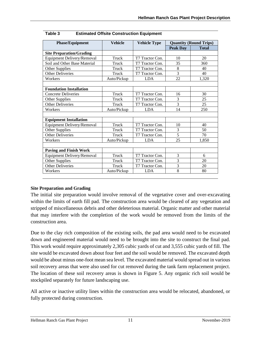| <b>Phase/Equipment</b>            | <b>Vehicle</b> | <b>Vehicle Type</b> | <b>Quantity (Round Trips)</b> |              |
|-----------------------------------|----------------|---------------------|-------------------------------|--------------|
|                                   |                |                     | <b>Peak Day</b>               | <b>Total</b> |
| <b>Site Preparation/Grading</b>   |                |                     |                               |              |
| Equipment Delivery/Removal        | Truck          | T7 Tractor Con.     | 10                            | 20           |
| Soil and Other Base Material      | Truck          | T7 Tractor Con.     | 35                            | 360          |
| Other Supplies                    | Truck          | T7 Tractor Con.     | 8                             | 40           |
| <b>Other Deliveries</b>           | Truck          | T7 Tractor Con.     | 3                             | 40           |
| Workers                           | Auto/Pickup    | <b>LDA</b>          | 22                            | 1,320        |
|                                   |                |                     |                               |              |
| <b>Foundation Installation</b>    |                |                     |                               |              |
| <b>Concrete Deliveries</b>        | Truck          | T7 Tractor Con.     | 16                            | 30           |
| Other Supplies                    | Truck          | T7 Tractor Con.     | 3                             | 25           |
| <b>Other Deliveries</b>           | Truck          | T7 Tractor Con.     | 3                             | 25           |
| Workers                           | Auto/Pickup    | <b>LDA</b>          | 14                            | 250          |
|                                   |                |                     |                               |              |
| <b>Equipment Installation</b>     |                |                     |                               |              |
| <b>Equipment Delivery/Removal</b> | Truck          | T7 Tractor Con.     | 10                            | 40           |
| Other Supplies                    | Truck          | T7 Tractor Con.     | 3                             | 50           |
| <b>Other Deliveries</b>           | Truck          | T7 Tractor Con.     | 5                             | 70           |
| Workers                           | Auto/Pickup    | <b>LDA</b>          | 25                            | 1.850        |
|                                   |                |                     |                               |              |
| <b>Paving and Finish Work</b>     |                |                     |                               |              |
| Equipment Delivery/Removal        | Truck          | T7 Tractor Con.     | 3                             | 6            |
| Other Supplies                    | Truck          | T7 Tractor Con.     | 3                             | 20           |
| <b>Other Deliveries</b>           | Truck          | T7 Tractor Con.     | 3                             | 20           |
| Workers                           | Auto/Pickup    | <b>LDA</b>          | 8                             | 80           |

| Table 3 | <b>Estimated Offsite Construction Equipment</b> |
|---------|-------------------------------------------------|

#### **Site Preparation and Grading**

The initial site preparation would involve removal of the vegetative cover and over-excavating within the limits of earth fill pad. The construction area would be cleared of any vegetation and stripped of miscellaneous debris and other deleterious material. Organic matter and other material that may interfere with the completion of the work would be removed from the limits of the construction area.

Due to the clay rich composition of the existing soils, the pad area would need to be excavated down and engineered material would need to be brought into the site to construct the final pad. This work would require approximately 2,305 cubic yards of cut and 3,555 cubic yards of fill. The site would be excavated down about four feet and the soil would be removed. The excavated depth would be about minus one-foot mean sea level. The excavated material would spread out in various soil recovery areas that were also used for cut removed during the tank farm replacement project. The location of these soil recovery areas is shown in Figure 5. Any organic rich soil would be stockpiled separately for future landscaping use.

All active or inactive utility lines within the construction area would be relocated, abandoned, or fully protected during construction.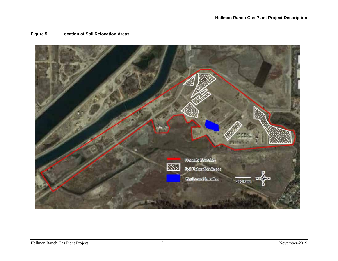

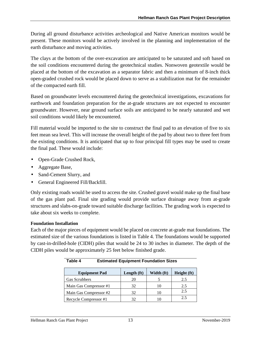During all ground disturbance activities archeological and Native American monitors would be present. These monitors would be actively involved in the planning and implementation of the earth disturbance and moving activities.

The clays at the bottom of the over-excavation are anticipated to be saturated and soft based on the soil conditions encountered during the geotechnical studies. Nonwoven geotextile would be placed at the bottom of the excavation as a separator fabric and then a minimum of 8-inch thick open-graded crushed rock would be placed down to serve as a stabilization mat for the remainder of the compacted earth fill.

Based on groundwater levels encountered during the geotechnical investigations, excavations for earthwork and foundation preparation for the at-grade structures are not expected to encounter groundwater. However, near ground surface soils are anticipated to be nearly saturated and wet soil conditions would likely be encountered.

Fill material would be imported to the site to construct the final pad to an elevation of five to six feet mean sea level. This will increase the overall height of the pad by about two to three feet from the existing conditions. It is anticipated that up to four principal fill types may be used to create the final pad. These would include:

- Open-Grade Crushed Rock,
- Aggregate Base,
- Sand-Cement Slurry, and
- General Engineered Fill/Backfill.

Only existing roads would be used to access the site. Crushed gravel would make up the final base of the gas plant pad. Final site grading would provide surface drainage away from at-grade structures and slabs-on-grade toward suitable discharge facilities. The grading work is expected to take about six weeks to complete.

#### **Foundation Installation**

Each of the major pieces of equipment would be placed on concrete at-grade mat foundations. The estimated size of the various foundations is listed in Table 4. The foundations would be supported by cast-in-drilled-hole (CIDH) piles that would be 24 to 30 inches in diameter. The depth of the CIDH piles would be approximately 25 feet below finished grade.

| <b>Equipment Pad</b>   | Length $(ft)$ | Width (ft) | Height (ft) |
|------------------------|---------------|------------|-------------|
| Gas Scrubbers          | 20            |            | 2.5         |
| Main Gas Compressor #1 | 32            |            | 2.5         |
| Main Gas Compressor #2 | 32            |            | 2.5         |
| Recycle Compressor #1  |               |            | 2.5         |

| Table 4 | <b>Estimated Equipment Foundation Sizes</b> |
|---------|---------------------------------------------|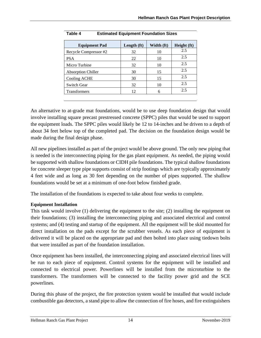| Length $(ft)$ | Width (ft) | Height (ft) |
|---------------|------------|-------------|
| 32            | 10         | 2.5         |
| 22            | 10         | 2.5         |
| 32            | 10         | 2.5         |
| 30            | 15         | 2.5         |
| 30            | 15         | 2.5         |
| 32            | 10         | 2.5         |
| 12            | 6          | 2.5         |
|               |            |             |

| Table 4 | <b>Estimated Equipment Foundation Sizes</b> |
|---------|---------------------------------------------|

An alternative to at-grade mat foundations, would be to use deep foundation design that would involve installing square precast prestressed concrete (SPPC) piles that would be used to support the equipment loads. The SPPC piles would likely be 12 to 14-inches and be driven to a depth of about 34 feet below top of the completed pad. The decision on the foundation design would be made during the final design phase.

All new pipelines installed as part of the project would be above ground. The only new piping that is needed is the interconnecting piping for the gas plant equipment. As needed, the piping would be supported with shallow foundations or CIDH pile foundations. The typical shallow foundations for concrete sleeper type pipe supports consist of strip footings which are typically approximately 4 feet wide and as long as 30 feet depending on the number of pipes supported. The shallow foundations would be set at a minimum of one-foot below finished grade.

The installation of the foundations is expected to take about four weeks to complete.

#### **Equipment Installation**

This task would involve (1) delivering the equipment to the site; (2) installing the equipment on their foundations; (3) installing the interconnecting piping and associated electrical and control systems; and (4) testing and startup of the equipment. All the equipment will be skid mounted for direct installation on the pads except for the scrubber vessels. As each piece of equipment is delivered it will be placed on the appropriate pad and then bolted into place using tiedown bolts that were installed as part of the foundation installation.

Once equipment has been installed, the interconnecting piping and associated electrical lines will be run to each piece of equipment. Control systems for the equipment will be installed and connected to electrical power. Powerlines will be installed from the microturbine to the transformers. The transformers will be connected to the facility power grid and the SCE powerlines.

During this phase of the project, the fire protection system would be installed that would include combustible gas detectors, a stand pipe to allow the connection of fire hoses, and fire extinguishers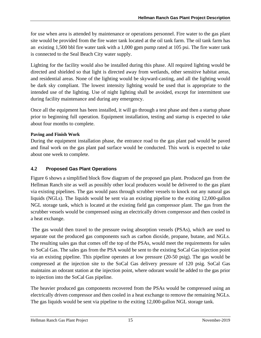for use when area is attended by maintenance or operations personnel. Fire water to the gas plant site would be provided from the fire water tank located at the oil tank farm. The oil tank farm has an existing 1,500 bbl fire water tank with a 1,000 gpm pump rated at 105 psi. The fire water tank is connected to the Seal Beach City water supply.

Lighting for the facility would also be installed during this phase. All required lighting would be directed and shielded so that light is directed away from wetlands, other sensitive habitat areas, and residential areas. None of the lighting would be skyward-casting, and all the lighting would be dark sky compliant. The lowest intensity lighting would be used that is appropriate to the intended use of the lighting. Use of night lighting shall be avoided, except for intermittent use during facility maintenance and during any emergency.

Once all the equipment has been installed, it will go through a test phase and then a startup phase prior to beginning full operation. Equipment installation, testing and startup is expected to take about four months to complete.

#### **Paving and Finish Work**

During the equipment installation phase, the entrance road to the gas plant pad would be paved and final work on the gas plant pad surface would be conducted. This work is expected to take about one week to complete.

#### **4.2 Proposed Gas Plant Operations**

Figure 6 shows a simplified block flow diagram of the proposed gas plant. Produced gas from the Hellman Ranch site as well as possibly other local producers would be delivered to the gas plant via existing pipelines. The gas would pass through scrubber vessels to knock out any natural gas liquids (NGLs). The liquids would be sent via an existing pipeline to the exiting 12,000-gallon NGL storage tank, which is located at the existing field gas compressor plant. The gas from the scrubber vessels would be compressed using an electrically driven compressor and then cooled in a heat exchange.

The gas would then travel to the pressure swing absorption vessels (PSAs), which are used to separate out the produced gas components such as carbon dioxide, propane, butane, and NGLs. The resulting sales gas that comes off the top of the PSAs, would meet the requirements for sales to SoCal Gas. The sales gas from the PSA would be sent to the existing SoCal Gas injection point via an existing pipeline. This pipeline operates at low pressure (20-50 psig). The gas would be compressed at the injection site to the SoCal Gas delivery pressure of 120 psig. SoCal Gas maintains an odorant station at the injection point, where odorant would be added to the gas prior to injection into the SoCal Gas pipeline.

The heavier produced gas components recovered from the PSAs would be compressed using an electrically driven compressor and then cooled in a heat exchange to remove the remaining NGLs. The gas liquids would be sent via pipeline to the exiting 12,000-gallon NGL storage tank.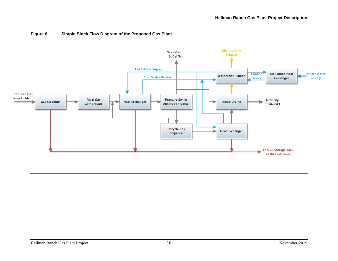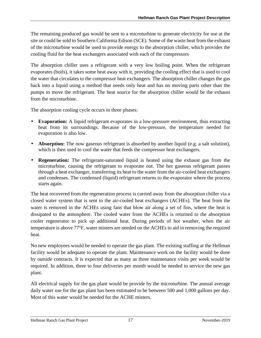The remaining produced gas would be sent to a microturbine to generate electricity for use at the site or could be sold to Southern California Edison (SCE). Some of the waste heat from the exhaust of the microturbine would be used to provide energy to the absorption chiller, which provides the cooling fluid for the heat exchangers associated with each of the compressors

The absorption chiller uses a refrigerant with a very low boiling point. When the refrigerant evaporates (boils), it takes some heat away with it, providing the cooling effect that is used to cool the water that circulates to the compressor heat exchangers. The absorption chiller changes the gas back into a liquid using a method that needs only heat and has no moving parts other than the pumps to move the refrigerant. The heat source for the absorption chiller would be the exhaust from the microturbine.

The absorption cooling cycle occurs in three phases:

- **Evaporation:** A liquid refrigerant evaporates in a low-pressure environment, thus extracting heat from its surroundings. Because of the low-pressure, the temperature needed for evaporation is also low.
- **Absorption:** The now gaseous refrigerant is absorbed by another liquid (e.g. a salt solution), which is then used to cool the water that feeds the compressor heat exchangers.
- **Regeneration:** The refrigerant-saturated liquid is heated using the exhaust gas from the microturbine, causing the refrigerant to evaporate out. The hot gaseous refrigerant passes through a heat exchanger, transferring its heat to the water from the air-cooled heat exchangers and condenses. The condensed (liquid) refrigerant returns to the evaporator where the process starts again.

The heat recovered from the regeneration process is carried away from the absorption chiller via a closed water system that is sent to the air-cooled heat exchangers (ACHEs). The heat from the water is removed in the ACHEs using fans that blow air along a set of fins, where the heat is dissipated to the atmosphere. The cooled water from the ACHEs is returned to the absorption cooler regenerator to pick up additional heat. During periods of hot weather, when the air temperature is above 77°F, water misters are needed on the ACHEs to aid in removing the required heat.

No new employees would be needed to operate the gas plant. The existing staffing at the Hellman facility would be adequate to operate the plant. Maintenance work on the facility would be done by outside contracts. It is expected that as many as three maintenance visits per week would be required. In addition, three to four deliveries per month would be needed to service the new gas plant.

All electrical supply for the gas plant would be provide by the microturbine. The annual average daily water use for the gas plant has been estimated to be between 500 and 1,000 gallons per day. Most of this water would be needed for the ACHE misters.